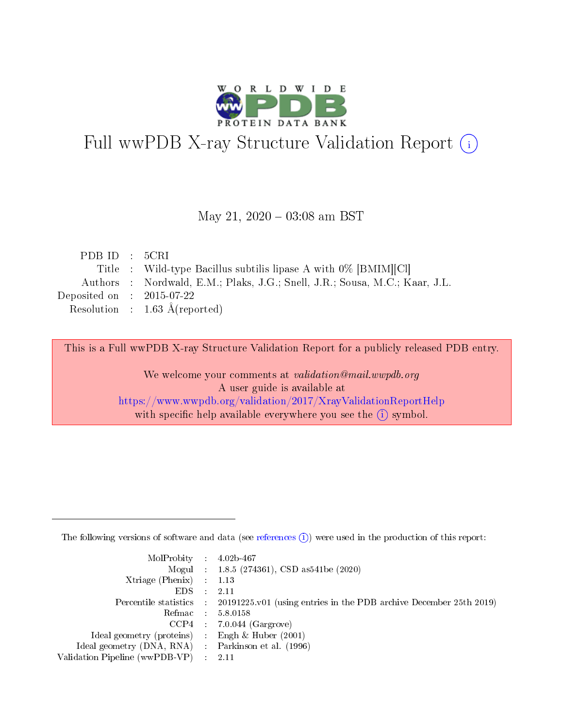

# Full wwPDB X-ray Structure Validation Report (i)

#### May 21,  $2020 - 03:08$  am BST

| PDBID : 5CRI                |                                                                             |
|-----------------------------|-----------------------------------------------------------------------------|
|                             | Title : Wild-type Bacillus subtilis lipase A with $0\%$ [BMIM][Cl]          |
|                             | Authors : Nordwald, E.M.; Plaks, J.G.; Snell, J.R.; Sousa, M.C.; Kaar, J.L. |
| Deposited on : $2015-07-22$ |                                                                             |
|                             | Resolution : $1.63 \text{ Å}$ (reported)                                    |

This is a Full wwPDB X-ray Structure Validation Report for a publicly released PDB entry.

We welcome your comments at validation@mail.wwpdb.org A user guide is available at <https://www.wwpdb.org/validation/2017/XrayValidationReportHelp> with specific help available everywhere you see the  $(i)$  symbol.

The following versions of software and data (see [references](https://www.wwpdb.org/validation/2017/XrayValidationReportHelp#references)  $(1)$ ) were used in the production of this report:

| $MolProbability$ : 4.02b-467                        |                                                                                            |
|-----------------------------------------------------|--------------------------------------------------------------------------------------------|
|                                                     | Mogul : $1.8.5$ (274361), CSD as 541be (2020)                                              |
| Xtriage (Phenix) $: 1.13$                           |                                                                                            |
| EDS                                                 | -2.11                                                                                      |
|                                                     | Percentile statistics : 20191225.v01 (using entries in the PDB archive December 25th 2019) |
| Refmac 58.0158                                      |                                                                                            |
|                                                     | $CCP4$ 7.0.044 (Gargrove)                                                                  |
| Ideal geometry (proteins) : Engh $\&$ Huber (2001)  |                                                                                            |
| Ideal geometry (DNA, RNA) : Parkinson et al. (1996) |                                                                                            |
| Validation Pipeline (wwPDB-VP) : 2.11               |                                                                                            |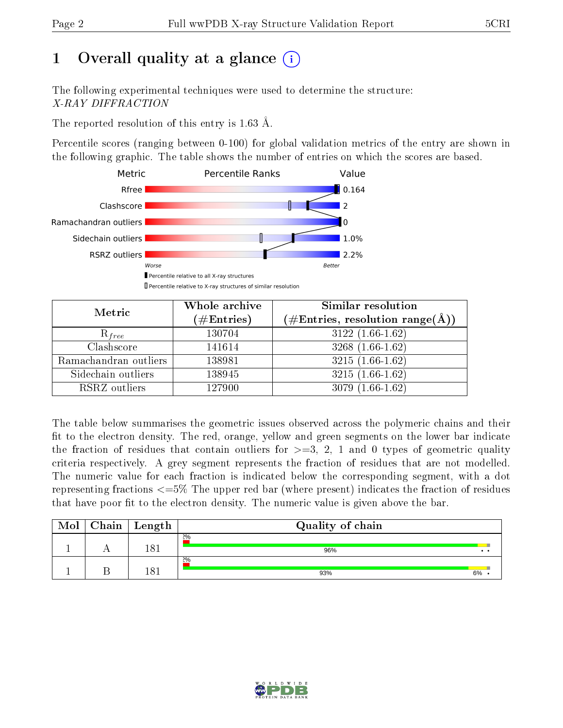# 1 [O](https://www.wwpdb.org/validation/2017/XrayValidationReportHelp#overall_quality)verall quality at a glance  $(i)$

The following experimental techniques were used to determine the structure: X-RAY DIFFRACTION

The reported resolution of this entry is 1.63 Å.

Percentile scores (ranging between 0-100) for global validation metrics of the entry are shown in the following graphic. The table shows the number of entries on which the scores are based.



| Metric                | Whole archive<br>$(\#\text{Entries})$ | Similar resolution<br>(#Entries, resolution range(Å)) |  |  |
|-----------------------|---------------------------------------|-------------------------------------------------------|--|--|
| $R_{free}$            | 130704                                | $3122(1.66-1.62)$                                     |  |  |
| Clashscore            | 141614                                | $3268(1.66-1.62)$                                     |  |  |
| Ramachandran outliers | 138981                                | $3215(1.66-1.62)$                                     |  |  |
| Sidechain outliers    | 138945                                | $3215(1.66-1.62)$                                     |  |  |
| RSRZ outliers         | 127900                                | $3079(1.66-1.62)$                                     |  |  |

The table below summarises the geometric issues observed across the polymeric chains and their fit to the electron density. The red, orange, yellow and green segments on the lower bar indicate the fraction of residues that contain outliers for  $>=3, 2, 1$  and 0 types of geometric quality criteria respectively. A grey segment represents the fraction of residues that are not modelled. The numeric value for each fraction is indicated below the corresponding segment, with a dot representing fractions  $\epsilon=5\%$  The upper red bar (where present) indicates the fraction of residues that have poor fit to the electron density. The numeric value is given above the bar.

| Mol | ${\bf Chain}$ | $\perp$ Length | Quality of chain |              |
|-----|---------------|----------------|------------------|--------------|
|     |               | 101            | 2%<br>96%        | $\cdot\cdot$ |
|     |               | I O 1          | 2%<br>93%        | 6%           |

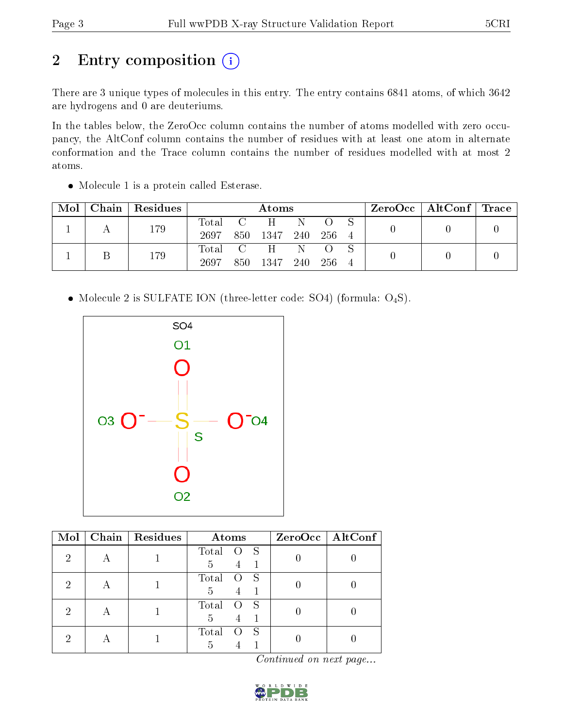# 2 Entry composition (i)

There are 3 unique types of molecules in this entry. The entry contains 6841 atoms, of which 3642 are hydrogens and 0 are deuteriums.

In the tables below, the ZeroOcc column contains the number of atoms modelled with zero occupancy, the AltConf column contains the number of residues with at least one atom in alternate conformation and the Trace column contains the number of residues modelled with at most 2 atoms.

| Mol | Chain   Residues |      | Atoms |                               |              |     |  | $\rm ZeroOcc$   AltConf   Trace |  |
|-----|------------------|------|-------|-------------------------------|--------------|-----|--|---------------------------------|--|
|     | 179              | 2697 |       | Total C H<br>850 1347 240 256 | $\mathbb{N}$ |     |  |                                 |  |
|     | 179              | 2697 | 850-  | Total C H N<br>1347 240       |              | 256 |  |                                 |  |

• Molecule 1 is a protein called Esterase.

• Molecule 2 is SULFATE ION (three-letter code: SO4) (formula:  $O_4S$ ).



| Mol | Chain   Residues | Atoms                                       | ZeroOcc   AltConf |
|-----|------------------|---------------------------------------------|-------------------|
| 2   |                  | Total<br>- S<br>$\circ$<br>4<br>5           |                   |
|     |                  | Total<br>$^{\circ}$ S<br>$\Omega$<br>5<br>4 |                   |
|     |                  | Total<br>$\mathbf S$<br>$\Omega$<br>5<br>4  |                   |
|     |                  | Total<br>- S<br>5<br>$-1$                   |                   |

Continued on next page...

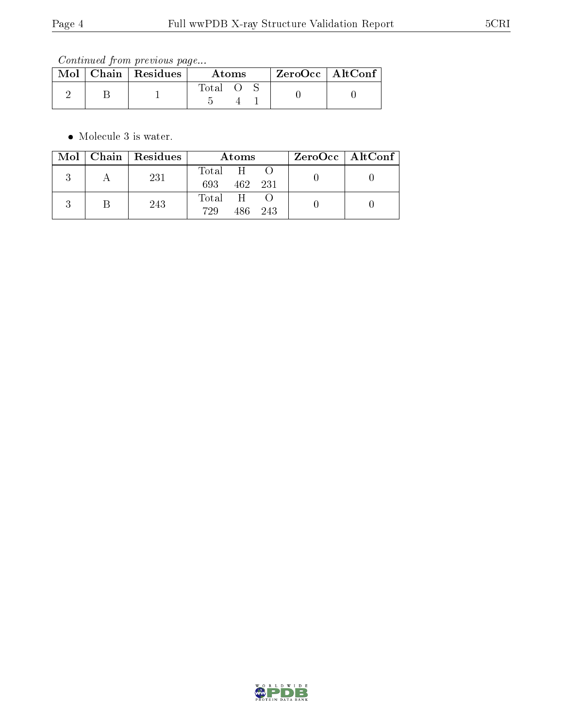Continued from previous page...

|  | $Mol$   Chain   Residues | Atoms        |  |  | $ZeroOcc \mid AltConf \mid$ |
|--|--------------------------|--------------|--|--|-----------------------------|
|  |                          | <b>Total</b> |  |  |                             |

• Molecule 3 is water.

|  | Mol   Chain   Residues | Atoms            |         |         | ZeroOcc   AltConf |
|--|------------------------|------------------|---------|---------|-------------------|
|  | 231                    | Total H<br>693   | 462 231 |         |                   |
|  | 243                    | Total H O<br>729 |         | 486 243 |                   |

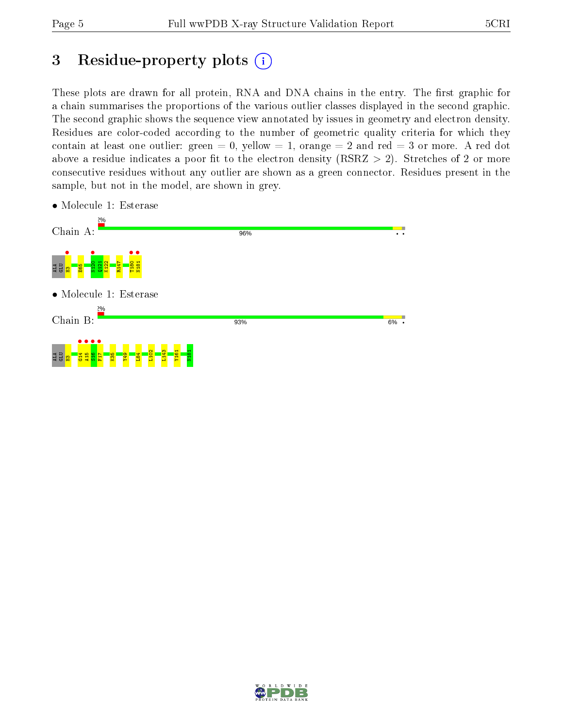# 3 Residue-property plots  $(i)$

These plots are drawn for all protein, RNA and DNA chains in the entry. The first graphic for a chain summarises the proportions of the various outlier classes displayed in the second graphic. The second graphic shows the sequence view annotated by issues in geometry and electron density. Residues are color-coded according to the number of geometric quality criteria for which they contain at least one outlier: green  $= 0$ , yellow  $= 1$ , orange  $= 2$  and red  $= 3$  or more. A red dot above a residue indicates a poor fit to the electron density (RSRZ  $> 2$ ). Stretches of 2 or more consecutive residues without any outlier are shown as a green connector. Residues present in the sample, but not in the model, are shown in grey.

- Chain A: 96% ALA GLU <mark>SAR</mark><br>Ala <mark>Glu</mark> Glu Ala T180 • N181 •  $\frac{121}{2}$ K122 R147 • Molecule 1: Esterase Chain B:  $6\%$  . 93% ALA <mark>GLU SA</mark><br>AB<mark>e deg</mark> F17 • L102 L143 Y161 N181 $\frac{5}{2}$ Y49  $\frac{1}{2}$
- Molecule 1: Esterase

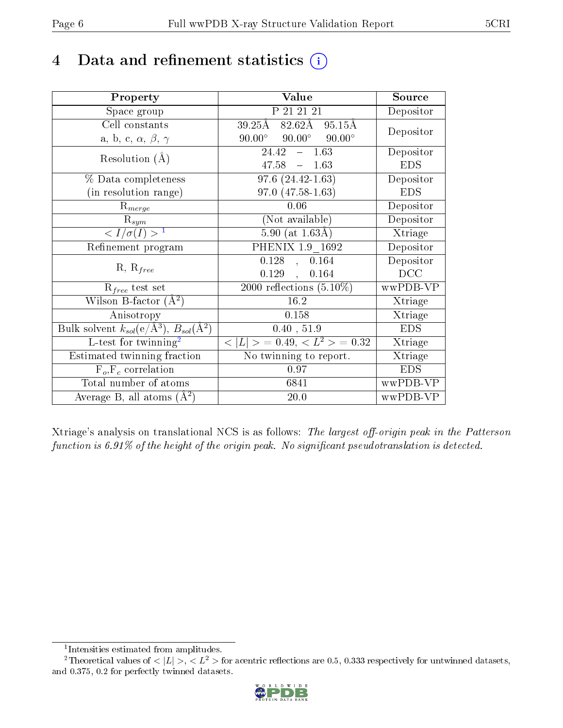# 4 Data and refinement statistics  $(i)$

| Property                                                                | Value                                             | Source     |
|-------------------------------------------------------------------------|---------------------------------------------------|------------|
| Space group                                                             | P 21 21 21                                        | Depositor  |
| Cell constants                                                          | $82.62\text{\AA}$<br>$39.25\text{\AA}$<br>95.15Å  | Depositor  |
| a, b, c, $\alpha$ , $\beta$ , $\gamma$                                  | $90.00^\circ$<br>$90.00^\circ$<br>$90.00^{\circ}$ |            |
| Resolution $(A)$                                                        | 1.63<br>24.42<br>$\equiv$                         | Depositor  |
|                                                                         | 47.58<br>$-1.63$                                  | <b>EDS</b> |
| % Data completeness                                                     | $97.6(24.42-1.63)$                                | Depositor  |
| (in resolution range)                                                   | 97.0 (47.58-1.63)                                 | <b>EDS</b> |
| $R_{merge}$                                                             | 0.06                                              | Depositor  |
| $\mathrm{R}_{sym}$                                                      | (Not available)                                   | Depositor  |
| $\langle I/\sigma(I) \rangle^{-1}$                                      | 5.90 (at $1.63\text{\AA}$ )                       | Xtriage    |
| Refinement program                                                      | PHENIX 1.9 1692                                   | Depositor  |
|                                                                         | $\overline{0.128}$ ,<br>0.164                     | Depositor  |
| $R, R_{free}$                                                           | 0.129,<br>0.164                                   | DCC        |
| $\mathcal{R}_{free}$ test set                                           | $\overline{2000}$ reflections $(5.10\%)$          | wwPDB-VP   |
| Wilson B-factor $(A^2)$                                                 | 16.2                                              | Xtriage    |
| Anisotropy                                                              | 0.158                                             | Xtriage    |
| Bulk solvent $k_{sol}(\mathrm{e}/\mathrm{A}^3),\,B_{sol}(\mathrm{A}^2)$ | 0.40, 51.9                                        | <b>EDS</b> |
| L-test for twinning <sup>2</sup>                                        | $< L >$ = 0.49, $< L^2 >$ = 0.32                  | Xtriage    |
| Estimated twinning fraction                                             | No twinning to report.                            | Xtriage    |
| $F_o, F_c$ correlation                                                  | 0.97                                              | <b>EDS</b> |
| Total number of atoms                                                   | 6841                                              | wwPDB-VP   |
| Average B, all atoms $(A^2)$                                            | 20.0                                              | wwPDB-VP   |

Xtriage's analysis on translational NCS is as follows: The largest off-origin peak in the Patterson function is  $6.91\%$  of the height of the origin peak. No significant pseudotranslation is detected.

<sup>&</sup>lt;sup>2</sup>Theoretical values of  $\langle |L| \rangle$ ,  $\langle L^2 \rangle$  for acentric reflections are 0.5, 0.333 respectively for untwinned datasets, and 0.375, 0.2 for perfectly twinned datasets.



<span id="page-5-1"></span><span id="page-5-0"></span><sup>1</sup> Intensities estimated from amplitudes.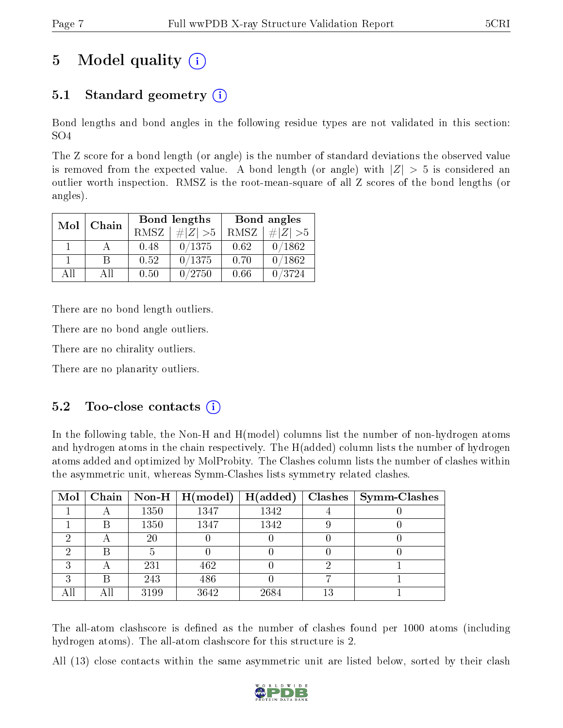# 5 Model quality  $(i)$

# 5.1 Standard geometry (i)

Bond lengths and bond angles in the following residue types are not validated in this section: SO4

The Z score for a bond length (or angle) is the number of standard deviations the observed value is removed from the expected value. A bond length (or angle) with  $|Z| > 5$  is considered an outlier worth inspection. RMSZ is the root-mean-square of all Z scores of the bond lengths (or angles).

|              |      |      | Bond lengths | Bond angles |             |  |
|--------------|------|------|--------------|-------------|-------------|--|
| Mol<br>Chain |      | RMSZ | $\# Z  > 5$  | RMSZ        | $\# Z  > 5$ |  |
|              |      | 0.48 | 0/1375       | 0.62        | 0/1862      |  |
|              | R    | 0.52 | 0/1375       | 0.70        | 0/1862      |  |
| ΑĦ           | A 11 | 0.50 | 0/2750       | 0.66        | 0/3724      |  |

There are no bond length outliers.

There are no bond angle outliers.

There are no chirality outliers.

There are no planarity outliers.

## $5.2$  Too-close contacts  $(i)$

In the following table, the Non-H and H(model) columns list the number of non-hydrogen atoms and hydrogen atoms in the chain respectively. The H(added) column lists the number of hydrogen atoms added and optimized by MolProbity. The Clashes column lists the number of clashes within the asymmetric unit, whereas Symm-Clashes lists symmetry related clashes.

| Mol |                          |      | Chain   Non-H   $H (model)$ | H(added) |    | $Clashes$   Symm-Clashes |
|-----|--------------------------|------|-----------------------------|----------|----|--------------------------|
|     | $\overline{\phantom{a}}$ | 1350 | 1347                        | 1342     |    |                          |
|     | В                        | 1350 | 1347                        | 1342     |    |                          |
| ച   | А                        | 20   |                             |          |    |                          |
| ച   | В                        |      |                             |          |    |                          |
| 2   | А                        | 231  | 462                         |          |    |                          |
| ີ   | В                        | 243  | 486                         |          |    |                          |
|     | All                      | 3199 | 3642                        | 2684     | 13 |                          |

The all-atom clashscore is defined as the number of clashes found per 1000 atoms (including hydrogen atoms). The all-atom clashscore for this structure is 2.

All (13) close contacts within the same asymmetric unit are listed below, sorted by their clash

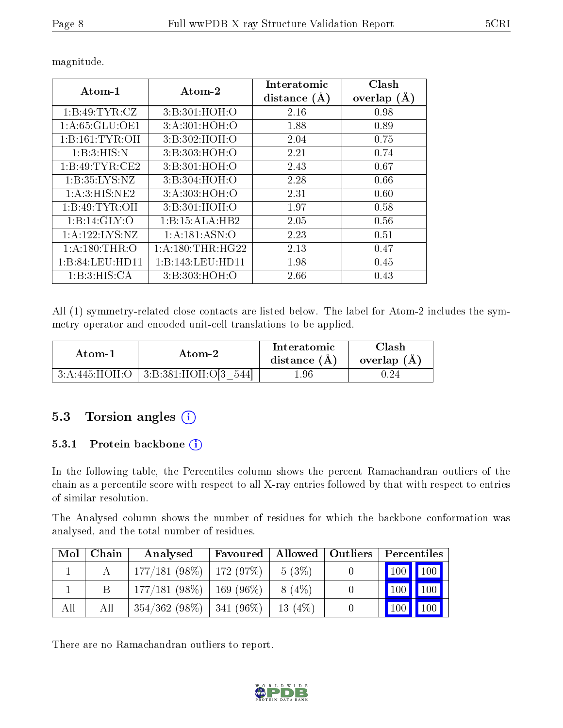| Atom-1             | $\boldsymbol{\mathrm{Atom}\text{-}2}$ | ${\rm Interatomic}$<br>distance $(\AA)$ | Clash<br>overlap $(A)$ |
|--------------------|---------------------------------------|-----------------------------------------|------------------------|
| 1:B:49:TYR:CZ      | 3:B:301:HOH:O                         | 2.16                                    | 0.98                   |
| 1:A:65:GLU:OE1     | 3: A:301:HOH:O                        | 1.88                                    | 0.89                   |
| 1: B: 161: TYR: OH | 3: B:302: HOH:O                       | 2.04                                    | 0.75                   |
| 1:B:3:HIS:N        | 3:B:303:HOH:O                         | 2.21                                    | 0.74                   |
| 1:B:49:TYR:CE2     | 3: B:301:HOH:O                        | 2.43                                    | 0.67                   |
| 1: B:35: LYS:NZ    | 3:B:304:HOH:O                         | 2.28                                    | 0.66                   |
| 1: A:3: HIS: NE2   | 3:A:303:HOH:O                         | 2.31                                    | 0.60                   |
| 1:B:49:TYR:OH      | 3:B:301:HOH:O                         | 1.97                                    | 0.58                   |
| 1: B: 14: GLY: O   | 1:B:15:ALA:HB2                        | 2.05                                    | 0.56                   |
| 1:A:122:LYS:NZ     | 1: A: 181: ASN: O                     | 2.23                                    | 0.51                   |
| 1: A:180:THR:O     | 1: A:180:THR:HG22                     | 2.13                                    | 0.47                   |
| 1:B:84:LEU:HD11    | 1:B:143:LEU:HDI1                      | 1.98                                    | 0.45                   |
| 1:B:3:HIS:CA       | 3: B:303:HOH:O                        | 2.66                                    | 0.43                   |

magnitude.

All (1) symmetry-related close contacts are listed below. The label for Atom-2 includes the symmetry operator and encoded unit-cell translations to be applied.

| Atom-1 | Atom-2                                       | Interatomic<br>distance $(A)$ | $\cap$ lash<br>overlap $(A)$ |
|--------|----------------------------------------------|-------------------------------|------------------------------|
|        | $3:A:445:HOH:O$   $3:B:381:HOH:O[3]$<br>5441 | . 96                          |                              |

## 5.3 Torsion angles  $(i)$

#### 5.3.1 Protein backbone (i)

In the following table, the Percentiles column shows the percent Ramachandran outliers of the chain as a percentile score with respect to all X-ray entries followed by that with respect to entries of similar resolution.

The Analysed column shows the number of residues for which the backbone conformation was analysed, and the total number of residues.

| Mol | Chain | Analysed                      | Favoured    |           | Allowed   Outliers | Percentiles         |     |
|-----|-------|-------------------------------|-------------|-----------|--------------------|---------------------|-----|
|     |       | $177/181(98\%)$   172 (97\%)  |             | 5(3%)     |                    | 100 100             |     |
|     |       | $177/181(98\%)$               | $169(96\%)$ | $8(4\%)$  |                    | $\vert$ 100 $\vert$ | 100 |
| All | All   | $354/362$ (98\%)   341 (96\%) |             | $13(4\%)$ |                    | 100 <sub>h</sub>    | 100 |

There are no Ramachandran outliers to report.

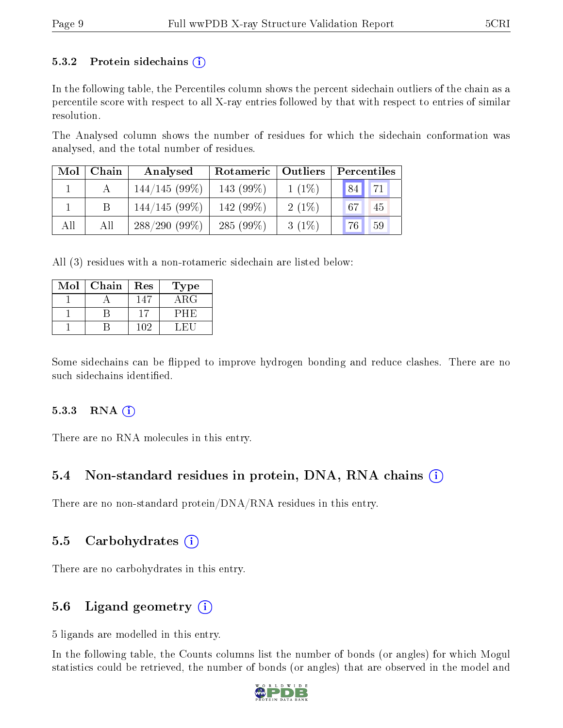#### 5.3.2 Protein sidechains  $(i)$

In the following table, the Percentiles column shows the percent sidechain outliers of the chain as a percentile score with respect to all X-ray entries followed by that with respect to entries of similar resolution.

The Analysed column shows the number of residues for which the sidechain conformation was analysed, and the total number of residues.

| Mol | Chain | Analysed        | Rotameric   Outliers |          | Percentiles           |  |  |
|-----|-------|-----------------|----------------------|----------|-----------------------|--|--|
|     |       | $144/145(99\%)$ | 143 (99%)            | $1(1\%)$ | 71<br>84 <sub>1</sub> |  |  |
|     |       | $144/145(99\%)$ | 142 (99%)            | $2(1\%)$ | 67<br>45              |  |  |
| All | All   | $288/290(99\%)$ | 285 $(99\%)$         | $3(1\%)$ | 76<br>59              |  |  |

All (3) residues with a non-rotameric sidechain are listed below:

| Mol | Chain | Res | Type       |
|-----|-------|-----|------------|
|     |       | 147 | $\rm{ARG}$ |
|     |       |     | PHE        |
|     |       | 102 | L RH       |

Some sidechains can be flipped to improve hydrogen bonding and reduce clashes. There are no such sidechains identified.

#### $5.3.3$  RNA  $(i)$

There are no RNA molecules in this entry.

#### 5.4 Non-standard residues in protein, DNA, RNA chains (i)

There are no non-standard protein/DNA/RNA residues in this entry.

#### 5.5 Carbohydrates  $(i)$

There are no carbohydrates in this entry.

## 5.6 Ligand geometry  $(i)$

5 ligands are modelled in this entry.

In the following table, the Counts columns list the number of bonds (or angles) for which Mogul statistics could be retrieved, the number of bonds (or angles) that are observed in the model and

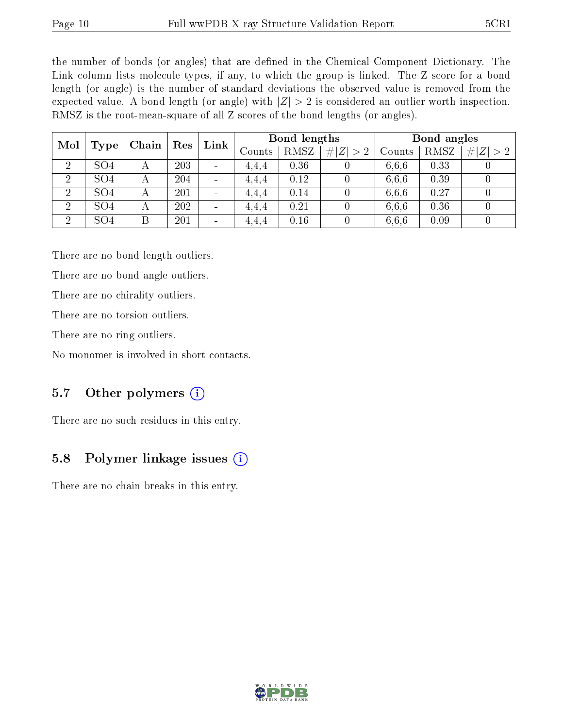the number of bonds (or angles) that are defined in the Chemical Component Dictionary. The Link column lists molecule types, if any, to which the group is linked. The Z score for a bond length (or angle) is the number of standard deviations the observed value is removed from the expected value. A bond length (or angle) with  $|Z| > 2$  is considered an outlier worth inspection. RMSZ is the root-mean-square of all Z scores of the bond lengths (or angles).

| Mol            |                 |                | Res | Link                         | Bond lengths      |      |             | Bond angles |      |             |
|----------------|-----------------|----------------|-----|------------------------------|-------------------|------|-------------|-------------|------|-------------|
|                | Type            | Chain          |     |                              | $\mathrm{Counts}$ | RMSZ | # $ Z  > 2$ | Counts      | RMSZ | # $ Z  > 2$ |
| $\overline{2}$ | SO <sub>4</sub> | А              | 203 | $\qquad \qquad \blacksquare$ | 4.4.4             | 0.36 |             | 6.6.6       | 0.33 |             |
| $\overline{2}$ | SO <sub>4</sub> | А              | 204 | $\blacksquare$               | 4.4.4             | 0.12 |             | 6,6,6       | 0.39 |             |
| $\overline{2}$ | SO <sub>4</sub> | А              | 201 | $\blacksquare$               | 4,4,4             | 0.14 |             | 6,6,6       | 0.27 |             |
| $\overline{2}$ | SO <sub>4</sub> | $\overline{A}$ | 202 | $\overline{\phantom{0}}$     | 4.4.4             | 0.21 |             | 6,6,6       | 0.36 |             |
| $\overline{2}$ | SO <sub>4</sub> |                | 201 | $\qquad \qquad \blacksquare$ | 4,4,4             | 0.16 |             | 6,6,6       | 0.09 |             |

There are no bond length outliers.

There are no bond angle outliers.

There are no chirality outliers.

There are no torsion outliers.

There are no ring outliers.

No monomer is involved in short contacts.

## 5.7 [O](https://www.wwpdb.org/validation/2017/XrayValidationReportHelp#nonstandard_residues_and_ligands)ther polymers (i)

There are no such residues in this entry.

## 5.8 Polymer linkage issues (i)

There are no chain breaks in this entry.

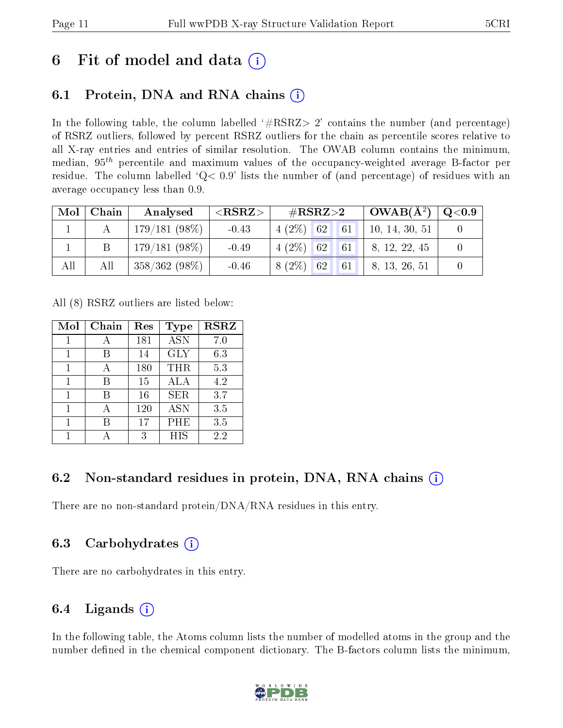# 6 Fit of model and data  $\left( \cdot \right)$

## 6.1 Protein, DNA and RNA chains (i)

In the following table, the column labelled  $#RSRZ>2'$  contains the number (and percentage) of RSRZ outliers, followed by percent RSRZ outliers for the chain as percentile scores relative to all X-ray entries and entries of similar resolution. The OWAB column contains the minimum, median,  $95<sup>th</sup>$  percentile and maximum values of the occupancy-weighted average B-factor per residue. The column labelled  $Q< 0.9$  lists the number of (and percentage) of residues with an average occupancy less than 0.9.

| Mol | Chain | Analysed        | ${ <\hspace{-1.5pt}{\mathrm{RSRZ}} \hspace{-1.5pt}>}$ | # $RSRZ>2$     |  | $OWAB(A^2)$                  | $\rm Q\textcolor{black}{<}0.9$ |
|-----|-------|-----------------|-------------------------------------------------------|----------------|--|------------------------------|--------------------------------|
|     |       | $179/181(98\%)$ | $-0.43$                                               | $4(2\%)$ 62 61 |  | 10, 14, 30, 51               |                                |
|     |       | $179/181(98\%)$ | $-0.49$                                               | $4(2\%)$ 62 61 |  | 8, 12, 22, 45                |                                |
| All | All   | $358/362(98\%)$ | $-0.46$                                               |                |  | $8(2\%)$ 62 61 8, 13, 26, 51 |                                |

All (8) RSRZ outliers are listed below:

| Mol | Chain | Res | <b>Type</b> | <b>RSRZ</b> |
|-----|-------|-----|-------------|-------------|
|     |       | 181 | <b>ASN</b>  | 7.0         |
|     | В     | 14  | <b>GLY</b>  | 6.3         |
| 1   | А     | 180 | <b>THR</b>  | 5.3         |
| 1   | В     | 15  | <b>ALA</b>  | 4.2         |
|     | R     | 16  | <b>SER</b>  | 3.7         |
| 1   |       | 120 | <b>ASN</b>  | 3.5         |
|     | В     | 17  | PHE         | 3.5         |
|     |       | 3   | <b>HIS</b>  | 2.2         |

## 6.2 Non-standard residues in protein, DNA, RNA chains (i)

There are no non-standard protein/DNA/RNA residues in this entry.

## 6.3 Carbohydrates (i)

There are no carbohydrates in this entry.

## 6.4 Ligands  $(i)$

In the following table, the Atoms column lists the number of modelled atoms in the group and the number defined in the chemical component dictionary. The B-factors column lists the minimum,